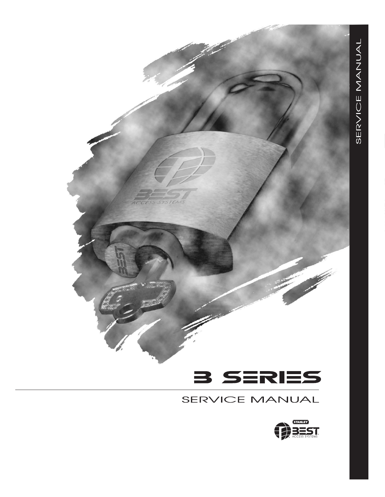

## SERVICE MANUAL

STEMS

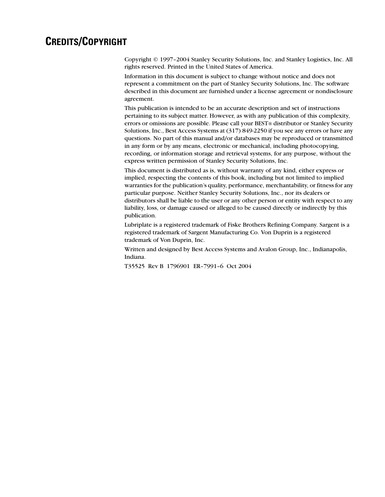#### **CREDITS/COPYRIGHT**

Copyright © 1997–2004 Stanley Security Solutions, Inc. and Stanley Logistics, Inc. All rights reserved. Printed in the United States of America.

Information in this document is subject to change without notice and does not represent a commitment on the part of Stanley Security Solutions, Inc. The software described in this document are furnished under a license agreement or nondisclosure agreement.

This publication is intended to be an accurate description and set of instructions pertaining to its subject matter. However, as with any publication of this complexity, errors or omissions are possible. Please call your BEST® distributor or Stanley Security Solutions, Inc., Best Access Systems at (317) 849-2250 if you see any errors or have any questions. No part of this manual and/or databases may be reproduced or transmitted in any form or by any means, electronic or mechanical, including photocopying, recording, or information storage and retrieval systems, for any purpose, without the express written permission of Stanley Security Solutions, Inc.

This document is distributed as is, without warranty of any kind, either express or implied, respecting the contents of this book, including but not limited to implied warranties for the publication's quality, performance, merchantability, or fitness for any particular purpose. Neither Stanley Security Solutions, Inc., nor its dealers or distributors shall be liable to the user or any other person or entity with respect to any liability, loss, or damage caused or alleged to be caused directly or indirectly by this publication.

Lubriplate is a registered trademark of Fiske Brothers Refining Company. Sargent is a registered trademark of Sargent Manufacturing Co. Von Duprin is a registered trademark of Von Duprin, Inc.

Written and designed by Best Access Systems and Avalon Group, Inc., Indianapolis, Indiana.

T35525 Rev B 1796901 ER–7991–6 Oct 2004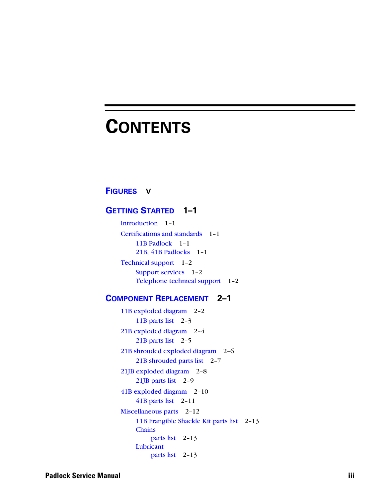# <span id="page-2-0"></span>**CONTENTS**

#### **[FIGURES](#page-4-0) V**

#### **[GETTING STARTED](#page-6-0) 1–1**

[Introduction](#page-6-1) 1–1 [Certifications and standards](#page-6-2) 1–1 [11B Padlock](#page-6-3) 1–1 [21B, 41B Padlocks](#page-6-4) 1–1 [Technical support](#page-7-0) 1–2 [Support services](#page-7-1) 1–2 [Telephone technical support](#page-7-2) 1–2

#### **[COMPONENT REPLACEMENT](#page-8-0) 2–1**

[11B exploded diagram](#page-9-0) 2–2 [11B parts list](#page-10-0) 2-3 [21B exploded diagram](#page-11-0) 2–4 [21B parts list](#page-12-0) 2-5 [21B shrouded exploded diagram](#page-13-0) 2–6 [21B shrouded parts list](#page-14-0) 2–7 [21JB exploded diagram](#page-15-0) 2–8 [21JB parts list](#page-16-0) 2–9 [41B exploded diagram](#page-17-0) 2–10 [41B parts list](#page-18-0) 2–11 [Miscellaneous parts](#page-19-0) 2–12 [11B Frangible Shackle Kit parts list](#page-20-0) 2–13 **[Chains](#page-20-1)** [parts list](#page-20-1) 2–13 [Lubricant](#page-20-2) [parts list](#page-20-2) 2–13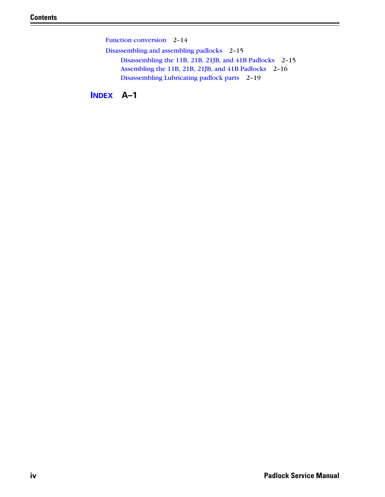[Function conversion](#page-21-0) 2–14 [Disassembling and assembling padlocks](#page-22-0) 2–15 [Disassembling the 11B, 21B, 21JB, and 41B Padlocks](#page-22-1) 2–15 [Assembling the 11B, 21B, 21JB, and 41B Padlocks](#page-23-0) 2–16 [Disassembling Lubricating padlock parts](#page-26-0) 2–19

**[INDEX](#page-28-0) A–1**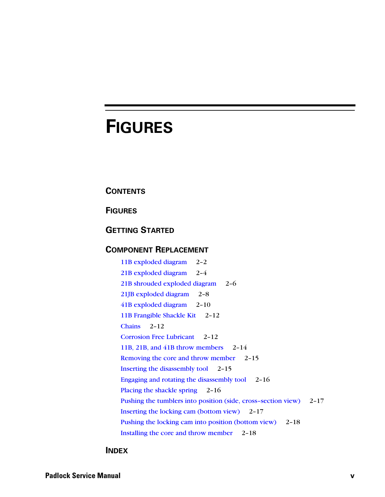## <span id="page-4-0"></span>**FIGURES**

#### **[CONTENTS](#page-2-0)**

**[FIGURES](#page-4-0)**

#### **[GETTING STARTED](#page-6-0)**

#### **[COMPONENT REPLACEMENT](#page-8-0)**

[11B exploded diagram](#page-9-1) 2–2 [21B exploded diagram](#page-11-1) 2–4 [21B shrouded exploded diagram](#page-13-1) 2–6 [21JB exploded diagram](#page-15-1) 2–8 [41B exploded diagram](#page-17-1) 2–10 [11B Frangible Shackle Kit](#page-19-1) 2-12 [Chains](#page-19-2) 2–12 [Corrosion Free Lubricant](#page-19-3) 2–12 [11B, 21B, and 41B throw members](#page-21-1) 2–14 [Removing the core and throw member](#page-22-2) 2-15 [Inserting the disassembly tool](#page-22-3) 2–15 [Engaging and rotating the disassembly tool](#page-23-1) 2–16 [Placing the shackle spring](#page-23-2) 2-16 [Pushing the tumblers into position \(side, cross–section view\)](#page-24-0) 2–17 [Inserting the locking cam \(bottom view\)](#page-24-1) 2–17 [Pushing the locking cam into position \(bottom view\)](#page-25-0) 2-18 [Installing the core and throw member](#page-25-1) 2–18

#### **[INDEX](#page-28-0)**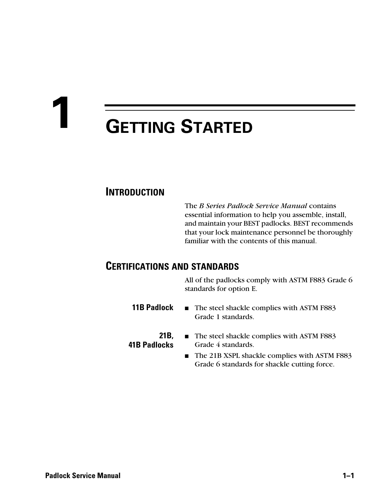# <span id="page-6-0"></span>**1 GETTING STARTED**

### <span id="page-6-1"></span>**INTRODUCTION**

The *B Series Padlock Service Manual* contains essential information to help you assemble, install, and maintain your BEST padlocks. BEST recommends that your lock maintenance personnel be thoroughly familiar with the contents of this manual.

#### <span id="page-6-5"></span><span id="page-6-2"></span>**CERTIFICATIONS AND STANDARDS**

All of the padlocks comply with ASTM F883 Grade 6 standards for option E.

- <span id="page-6-3"></span>**11B Padlock** ■ The steel shackle complies with ASTM F883 Grade 1 standards.
- <span id="page-6-4"></span>**21B, 41B Padlocks**
- The steel shackle complies with ASTM F883 Grade 4 standards.
	- The 21B XSPL shackle complies with ASTM F883 Grade 6 standards for shackle cutting force.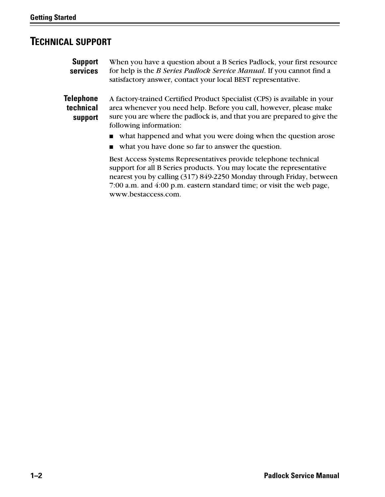## <span id="page-7-3"></span><span id="page-7-1"></span><span id="page-7-0"></span>**TECHNICAL SUPPORT**

<span id="page-7-2"></span>

| <b>Support</b><br>services        | When you have a question about a B Series Padlock, your first resource<br>for help is the <i>B Series Padlock Service Manual</i> . If you cannot find a<br>satisfactory answer, contact your local BEST representative.                                                                  |
|-----------------------------------|------------------------------------------------------------------------------------------------------------------------------------------------------------------------------------------------------------------------------------------------------------------------------------------|
| Telephone<br>technical<br>support | A factory-trained Certified Product Specialist (CPS) is available in your<br>area whenever you need help. Before you call, however, please make<br>sure you are where the padlock is, and that you are prepared to give the<br>following information:                                    |
|                                   | what happened and what you were doing when the question arose                                                                                                                                                                                                                            |
|                                   | what you have done so far to answer the question.                                                                                                                                                                                                                                        |
|                                   | Best Access Systems Representatives provide telephone technical<br>support for all B Series products. You may locate the representative<br>nearest you by calling (317) 849-2250 Monday through Friday, between<br>7:00 a.m. and 4:00 p.m. eastern standard time; or visit the web page, |

www.bestaccess.com.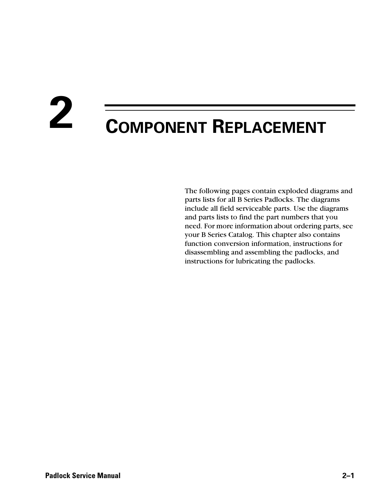# <span id="page-8-0"></span>**2 COMPONENT REPLACEMENT**

The following pages contain exploded diagrams and parts lists for all B Series Padlocks. The diagrams include all field serviceable parts. Use the diagrams and parts lists to find the part numbers that you need. For more information about ordering parts, see your B Series Catalog. This chapter also contains function conversion information, instructions for disassembling and assembling the padlocks, and instructions for lubricating the padlocks.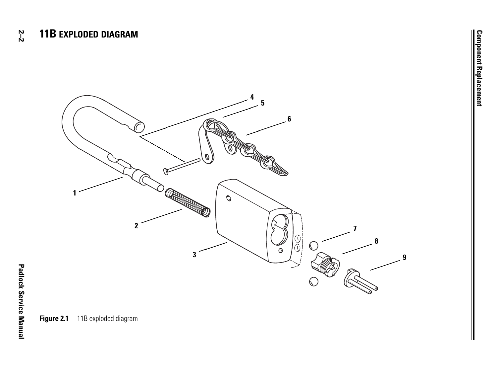<span id="page-9-2"></span><span id="page-9-1"></span><span id="page-9-0"></span>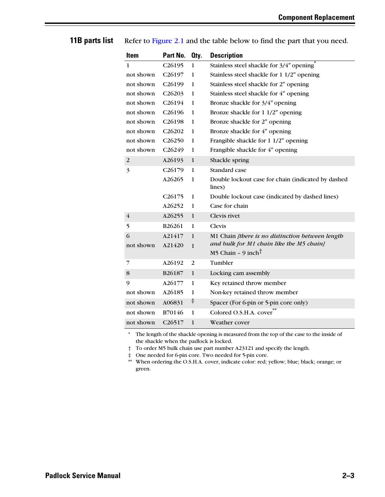#### <span id="page-10-0"></span>**11B parts list** Refer to [Figure 2.1](#page-9-1) and the table below to find the part that you need.

<span id="page-10-7"></span><span id="page-10-6"></span><span id="page-10-1"></span>

| <b>Item</b>    | Part No.            | Oty.         | <b>Description</b>                                           |
|----------------|---------------------|--------------|--------------------------------------------------------------|
| 1              | C26195              | $\mathbf{1}$ | Stainless steel shackle for 3/4" opening                     |
| not shown      | C26197              | 1            | Stainless steel shackle for 1 1/2" opening                   |
| not shown      | C <sub>26199</sub>  | 1            | Stainless steel shackle for 2" opening                       |
| not shown      | C <sub>26203</sub>  | 1            | Stainless steel shackle for 4" opening                       |
| not shown      | C26194              | 1            | Bronze shackle for 3/4" opening                              |
| not shown      | C <sub>26196</sub>  | 1            | Bronze shackle for 1 1/2" opening                            |
| not shown      | C <sub>26</sub> 198 | 1            | Bronze shackle for 2" opening                                |
| not shown      | C <sub>26202</sub>  | 1            | Bronze shackle for 4" opening                                |
| not shown      | C <sub>26250</sub>  | 1            | Frangible shackle for 1 1/2" opening                         |
| not shown      | C26249              | $\mathbf{1}$ | Frangible shackle for 4" opening                             |
| $\overline{2}$ | A26193              | $\mathbf{1}$ | Shackle spring                                               |
| 3              | C <sub>26179</sub>  | 1            | Standard case                                                |
|                | A26265              | 1            | Double lockout case for chain (indicated by dashed<br>lines) |
|                | C <sub>26175</sub>  | 1            | Double lockout case (indicated by dashed lines)              |
|                | A26252              | 1            | Case for chain                                               |
| $\overline{4}$ | A26255              | $\mathbf{1}$ | Clevis rivet                                                 |
| 5              | B26261              | $\mathbf{1}$ | Clevis                                                       |
| 6              | A21417              | $\mathbf{1}$ | M1 Chain [there is no distinction between length             |
| not shown      | A21420              | $\mathbf{1}$ | and bulk for M1 chain like the M5 chain]                     |
|                |                     |              | M5 Chain - 9 inch <sup>†</sup>                               |
| 7              | A26192              | 2            | Tumbler                                                      |
| 8              | B26187              | $\mathbf{1}$ | Locking cam assembly                                         |
| 9              | A26177              | $\mathbf{1}$ | Key retained throw member                                    |
| not shown      | A26185              | $\mathbf{1}$ | Non-key retained throw member                                |
| not shown      | A06831              | $\ddagger$   | Spacer (For 6-pin or 5-pin core only)                        |
| not shown      | B70146              | $\mathbf{1}$ | Colored O.S.H.A. cover                                       |
| not shown      | C <sub>26517</sub>  | $\mathbf{1}$ | Weather cover                                                |

<span id="page-10-10"></span><span id="page-10-9"></span><span id="page-10-8"></span><span id="page-10-5"></span><span id="page-10-4"></span><span id="page-10-3"></span><span id="page-10-2"></span>\* The length of the shackle opening is measured from the top of the case to the inside of the shackle when the padlock is locked.

† To order M5 bulk chain use part number A23121 and specify the length.

‡ One needed for 6-pin core. Two needed for 5-pin core.

\*\* When ordering the O.S.H.A. cover, indicate color: red; yellow; blue; black; orange; or green.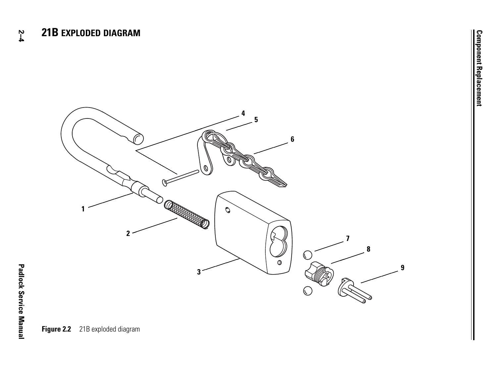

**2–4**

**Figure 2.2** 21B exploded diagram

<span id="page-11-2"></span><span id="page-11-1"></span><span id="page-11-0"></span>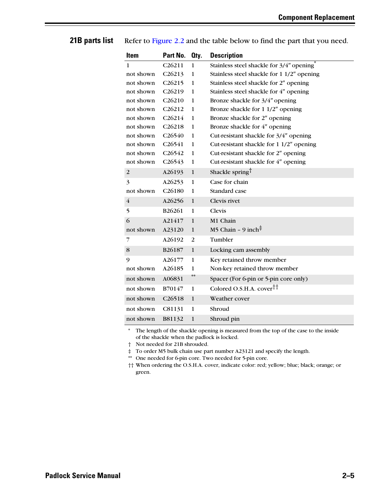#### <span id="page-12-6"></span><span id="page-12-1"></span>**Item Part No. Qty. Description** 1 not shown not shown not shown not shown not shown not shown not shown not shown not shown not shown not shown C26211 C26213 C26215 C26219 C26210 C26212 C26214 C26218 C26540 C26541 C26542 C26543 1 1 1 1 1 1 1 1 1 1 1 1 Stainless steel shackle for  $3/4$ " opening<sup>\*</sup> Stainless steel shackle for 1 1/2″ opening Stainless steel shackle for 2″ opening Stainless steel shackle for 4″ opening Bronze shackle for 3/4″ opening Bronze shackle for 1 1/2″ opening Bronze shackle for 2″ opening Bronze shackle for 4″ opening Cut-resistant shackle for 3/4″ opening Cut-resistant shackle for 1 1/2″ opening Cut-resistant shackle for 2″ opening Cut-resistant shackle for 4″ opening 2 A26193 1 Shackle spring 3 not shown A26253 C26180 1 1 Case for chain Standard case 4 A26256 1 Clevis rivet 5 B26261 1 Clevis 6 not shown A21417 A23120 1 1 M1 Chain M5 Chain – 9 inch<sup> $\ddagger$ </sup> 7 A26192 2 Tumbler 8 B26187 1 Locking cam assembly 9 not shown A26177 A26185 1 1 Key retained throw member Non-key retained throw member not shown A06831 Spacer (For 6-pin or 5-pin core only) not shown B70147 1 Colored O.S.H.A. cover†† not shown C26518 1 Weather cover not shown C81131 1 Shroud not shown B81132 1 Shroud pin

<span id="page-12-0"></span>**21B parts list** Refer to [Figure 2.2](#page-11-1) and the table below to find the part that you need.

<span id="page-12-9"></span><span id="page-12-8"></span><span id="page-12-7"></span><span id="page-12-5"></span><span id="page-12-4"></span><span id="page-12-3"></span><span id="page-12-2"></span>The length of the shackle opening is measured from the top of the case to the inside of the shackle when the padlock is locked.

† Not needed for 21B shrouded.

‡ To order M5 bulk chain use part number A23121 and specify the length.

\*\* One needed for 6-pin core. Two needed for 5-pin core.

†† When ordering the O.S.H.A. cover, indicate color: red; yellow; blue; black; orange; or green.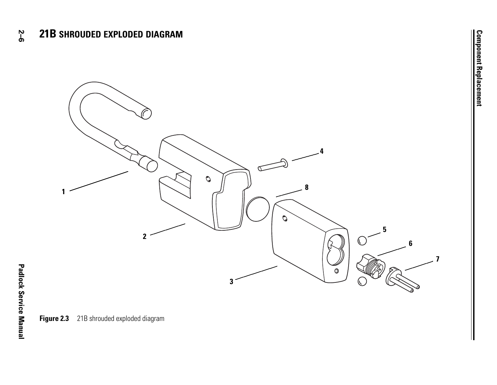<span id="page-13-2"></span><span id="page-13-1"></span><span id="page-13-0"></span>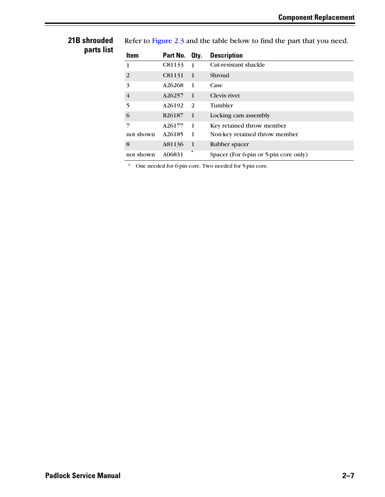#### <span id="page-14-0"></span>**21B shrouded parts list**

<span id="page-14-1"></span>Refer to [Figure 2.3](#page-13-1) and the table below to find the part that you need.

<span id="page-14-9"></span><span id="page-14-6"></span><span id="page-14-3"></span><span id="page-14-2"></span>

| Item           | Part No.           | Qty.           | <b>Description</b>                    |
|----------------|--------------------|----------------|---------------------------------------|
| 1              | C81133             | $\overline{1}$ | Cut-resistant shackle                 |
| 2              | C81131             | $\mathbf \Phi$ | Shroud                                |
| 3              | A26268             | $\overline{1}$ | Case                                  |
| $\overline{4}$ | A26257             | $\overline{1}$ | Clevis rivet                          |
| 5              | A26192             | <sup>2</sup>   | Tumbler                               |
| 6              | B <sub>26187</sub> | $\overline{1}$ | Locking cam assembly                  |
| 7              | A26177             | <sup>1</sup>   | Key retained throw member             |
| not shown      | A26185             | $\overline{1}$ | Non-key retained throw member         |
| 8              | A81136             | $\mathbf{1}$   | Rubber spacer                         |
| not shown      | A06831             | *              | Spacer (For 6-pin or 5-pin core only) |

<span id="page-14-8"></span><span id="page-14-7"></span><span id="page-14-5"></span><span id="page-14-4"></span>\* One needed for 6-pin core. Two needed for 5-pin core.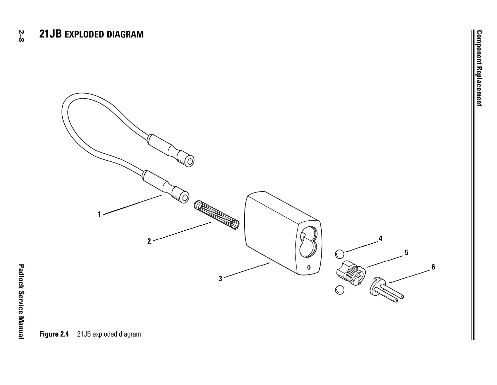

<span id="page-15-2"></span><span id="page-15-1"></span><span id="page-15-0"></span>**Padlock Service Manual**

**Padlock Service Manual**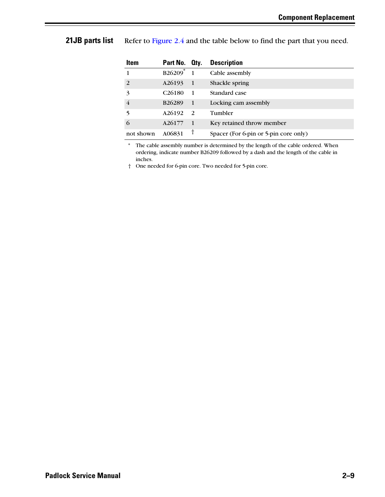#### <span id="page-16-0"></span>**21JB parts list** Refer to [Figure 2.4](#page-15-1) and the table below to find the part that you need.

<span id="page-16-5"></span><span id="page-16-4"></span><span id="page-16-3"></span><span id="page-16-2"></span><span id="page-16-1"></span>

| Item           | Part No. Oty.       |                | <b>Description</b>                    |
|----------------|---------------------|----------------|---------------------------------------|
| 1.             | $B26209^*$          |                | Cable assembly                        |
| 2              | A26193              | -1             | Shackle spring                        |
| 3              | C <sub>26</sub> 180 | $\overline{1}$ | Standard case                         |
| $\overline{4}$ | B26289              | $\overline{1}$ | Locking cam assembly                  |
| 5              | A26192              | <sup>2</sup>   | Tumbler                               |
| 6              | A26177              |                | Key retained throw member             |
| not shown      | A06831              |                | Spacer (For 6-pin or 5-pin core only) |

<span id="page-16-8"></span><span id="page-16-7"></span><span id="page-16-6"></span>\* The cable assembly number is determined by the length of the cable ordered. When ordering, indicate number B26209 followed by a dash and the length of the cable in inches.

† One needed for 6-pin core. Two needed for 5-pin core.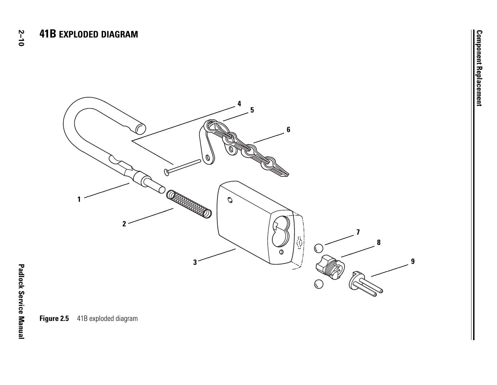<span id="page-17-2"></span><span id="page-17-1"></span><span id="page-17-0"></span>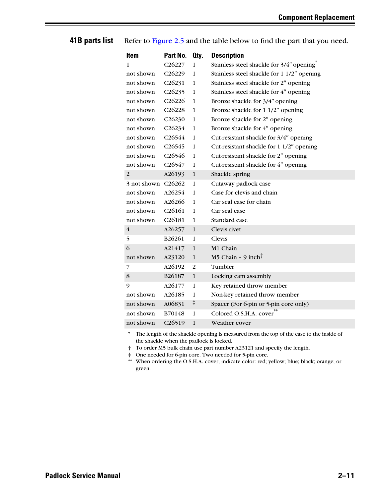#### <span id="page-18-0"></span>**41B parts list** Refer to [Figure 2.5](#page-17-1) and the table below to find the part that you need.

<span id="page-18-8"></span><span id="page-18-7"></span><span id="page-18-2"></span><span id="page-18-1"></span>

| Item                   | Part No.            | Oty.         | <b>Description</b>                                    |
|------------------------|---------------------|--------------|-------------------------------------------------------|
| 1                      | C <sub>26227</sub>  | $\mathbf{1}$ | Stainless steel shackle for 3/4" opening <sup>3</sup> |
| not shown              | C <sub>26229</sub>  | 1            | Stainless steel shackle for 1 1/2" opening            |
| not shown              | C <sub>26231</sub>  | 1            | Stainless steel shackle for 2" opening                |
| not shown              | C <sub>26235</sub>  | $\mathbf{1}$ | Stainless steel shackle for 4" opening                |
| not shown              | C <sub>26226</sub>  | 1            | Bronze shackle for 3/4" opening                       |
| not shown              | C <sub>26228</sub>  | 1            | Bronze shackle for 1 1/2" opening                     |
| not shown              | C <sub>26230</sub>  | 1            | Bronze shackle for 2" opening                         |
| not shown              | C26234              | 1            | Bronze shackle for 4" opening                         |
| not shown              | C <sub>26544</sub>  | 1            | Cut-resistant shackle for 3/4" opening                |
| not shown              | C <sub>26545</sub>  | $\mathbf{1}$ | Cut-resistant shackle for 1 1/2" opening              |
| not shown              | C <sub>26546</sub>  | 1            | Cut-resistant shackle for 2" opening                  |
| not shown              | C26547              | 1            | Cut-resistant shackle for 4" opening                  |
| 2                      | A26193              | 1            | Shackle spring                                        |
| $3$ not shown $C26262$ |                     | $\mathbf{1}$ | Cutaway padlock case                                  |
| not shown              | A26254              | 1            | Case for clevis and chain                             |
| not shown              | A26266              | 1            | Car seal case for chain                               |
| not shown              | C <sub>26161</sub>  | 1            | Car seal case                                         |
| not shown              | C <sub>26</sub> 181 | 1            | Standard case                                         |
| $\overline{4}$         | A26257              | $\mathbf{1}$ | Clevis rivet                                          |
| 5                      | B26261              | 1            | Clevis                                                |
| 6                      | A21417              | $\mathbf{1}$ | M1 Chain                                              |
| not shown              | A23120              | $\mathbf{1}$ | M5 Chain - 9 inch <sup>†</sup>                        |
| 7                      | A26192              | 2            | Tumbler                                               |
| 8                      | B <sub>26187</sub>  | 1            | Locking cam assembly                                  |
| 9                      | A26177              | 1            | Key retained throw member                             |
| not shown              | A26185              | 1            | Non-key retained throw member                         |
| not shown              | A06831              | $\ddagger$   | Spacer (For 6-pin or 5-pin core only)                 |
| not shown              | B70148              | 1            | Colored O.S.H.A. cover                                |
| not shown              | C26519              | 1            | Weather cover                                         |

<span id="page-18-11"></span><span id="page-18-10"></span><span id="page-18-9"></span><span id="page-18-6"></span><span id="page-18-5"></span><span id="page-18-4"></span><span id="page-18-3"></span>\* The length of the shackle opening is measured from the top of the case to the inside of the shackle when the padlock is locked.

† To order M5 bulk chain use part number A23121 and specify the length.

‡ One needed for 6-pin core. Two needed for 5-pin core.

\*\* When ordering the O.S.H.A. cover, indicate color: red; yellow; blue; black; orange; or green.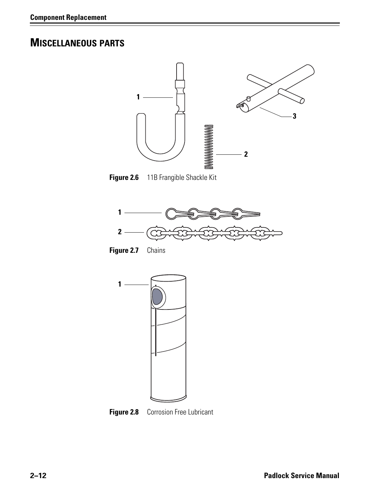## <span id="page-19-0"></span>**MISCELLANEOUS PARTS**



**Figure 2.6** 11B Frangible Shackle Kit

<span id="page-19-5"></span><span id="page-19-1"></span>

<span id="page-19-4"></span><span id="page-19-2"></span>**Figure 2.7** Chains



<span id="page-19-6"></span><span id="page-19-3"></span>**Figure 2.8** Corrosion Free Lubricant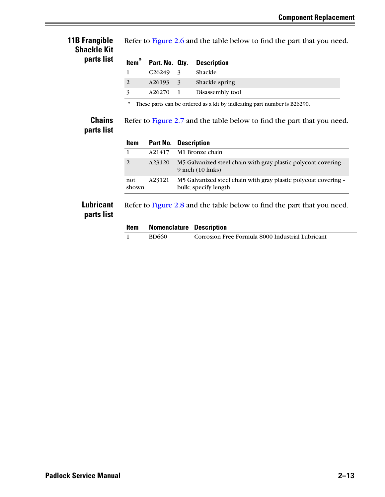#### <span id="page-20-0"></span>**11B Frangible Shackle Kit parts list**

<span id="page-20-6"></span><span id="page-20-5"></span>

| Item <sup>*</sup> |              | Part. No. Qty. Description |
|-------------------|--------------|----------------------------|
|                   | $C26249 - 3$ | Shackle                    |
| 2                 |              | A26193 3 Shackle spring    |
| $\mathbf{z}$      | A26270 1     | Disassembly tool           |

<span id="page-20-9"></span>Refer to [Figure 2.6](#page-19-1) and the table below to find the part that you need.

<span id="page-20-11"></span><span id="page-20-8"></span><span id="page-20-4"></span>\* These parts can be ordered as a kit by indicating part number is B26290.

#### <span id="page-20-1"></span>**Chains parts list**

| Refer to Figure 2.7 and the table below to find the part that you need. |
|-------------------------------------------------------------------------|
|                                                                         |

<span id="page-20-3"></span>

| Item         |        | <b>Part No. Description</b>                                                              |
|--------------|--------|------------------------------------------------------------------------------------------|
| 1            | A21417 | M1 Bronze chain                                                                          |
| 2            | A23120 | M5 Galvanized steel chain with gray plastic polycoat covering –<br>$9$ inch $(10$ links) |
| not<br>shown | A23121 | M5 Galvanized steel chain with gray plastic polycoat covering -<br>bulk; specify length  |

#### <span id="page-20-2"></span>**Lubricant parts list**

<span id="page-20-10"></span>

| Refer to Figure 2.8 and the table below to find the part that you need. |
|-------------------------------------------------------------------------|
|                                                                         |
|                                                                         |

<span id="page-20-7"></span>

| Item | <b>Nomenclature Description</b> |                                                  |
|------|---------------------------------|--------------------------------------------------|
|      | BD660                           | Corrosion Free Formula 8000 Industrial Lubricant |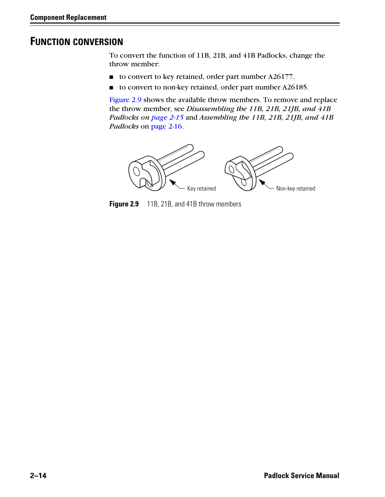#### <span id="page-21-0"></span>**FUNCTION CONVERSION**

<span id="page-21-2"></span>To convert the function of 11B, 21B, and 41B Padlocks, change the throw member:

- to convert to key retained, order part number A26177.
- to convert to non-key retained, order part number A26185.

[Figure 2.9](#page-21-1) shows the available throw members. To remove and replace the throw member, see *[Disassembling the 11B, 21B, 21JB, and 41B](#page-22-1)  [Padlocks on page 2-15](#page-22-1)* and *[Assembling the 11B, 21B, 21JB, and 41B](#page-23-0)  Padlocks* [on page 2-16](#page-23-0).



<span id="page-21-1"></span>**Figure 2.9** 11B, 21B, and 41B throw members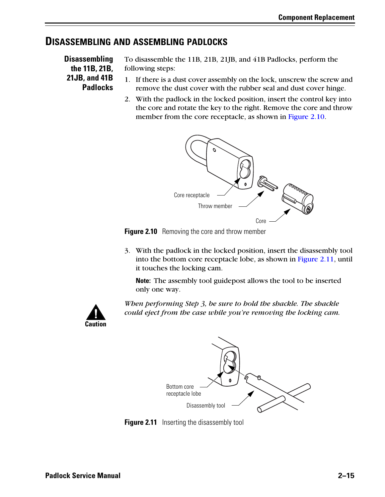#### <span id="page-22-1"></span><span id="page-22-0"></span>**DISASSEMBLING AND ASSEMBLING PADLOCKS**

**Disassembling the 11B, 21B, 21JB, and 41B Padlocks**

<span id="page-22-8"></span>To disassemble the 11B, 21B, 21JB, and 41B Padlocks, perform the following steps:

- <span id="page-22-5"></span>1. If there is a dust cover assembly on the lock, unscrew the screw and remove the dust cover with the rubber seal and dust cover hinge.
- 2. With the padlock in the locked position, insert the control key into the core and rotate the key to the right. Remove the core and throw member from the core receptacle, [as shown in Figure 2.10.](#page-22-2)

<span id="page-22-7"></span><span id="page-22-4"></span>

<span id="page-22-2"></span>**Figure 2.10** Removing the core and throw member

3. With the padlock in the locked position, insert the disassembly tool into the bottom core receptacle lobe, as shown in [Figure 2.11](#page-22-3), until it touches the locking cam.

<span id="page-22-6"></span>**Note:** The assembly tool guidepost allows the tool to be inserted only one way.



*When performing Step 3, be sure to hold the shackle. The shackle could eject from the case while you're removing the locking cam.*

<span id="page-22-9"></span>

<span id="page-22-3"></span>**Figure 2.11** Inserting the disassembly tool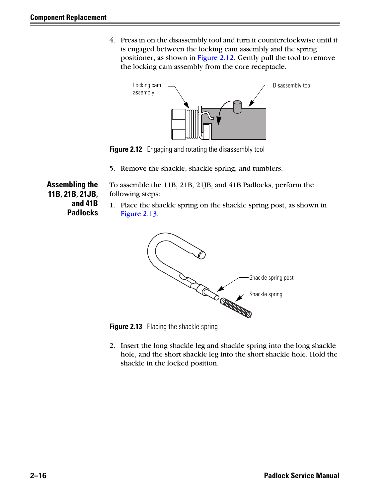4. Press in on the disassembly tool and turn it counterclockwise until it is engaged between the locking cam assembly and the spring positioner, [as shown in Figure 2.12.](#page-23-1) Gently pull the tool to remove the locking cam assembly from the core receptacle.



**Figure 2.12** Engaging and rotating the disassembly tool

<span id="page-23-4"></span>5. Remove the shackle, shackle spring, and tumblers.

<span id="page-23-1"></span><span id="page-23-0"></span>**Assembling the 11B, 21B, 21JB, and 41B Padlocks**

- <span id="page-23-6"></span>To assemble the 11B, 21B, 21JB, and 41B Padlocks, perform the following steps:
- 1. Place the shackle spring on the shackle spring post, [as shown in](#page-23-2)  [Figure 2.13.](#page-23-2)

<span id="page-23-5"></span><span id="page-23-3"></span>

<span id="page-23-2"></span>**Figure 2.13** Placing the shackle spring

2. Insert the long shackle leg and shackle spring into the long shackle hole, and the short shackle leg into the short shackle hole. Hold the shackle in the locked position.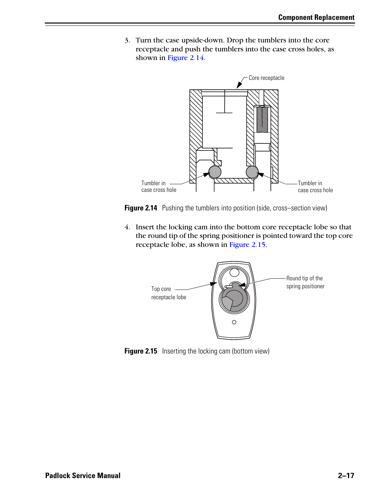3. Turn the case upside-down. Drop the tumblers into the core receptacle and push the tumblers into the case cross holes, [as](#page-24-0)  [shown in Figure 2.14.](#page-24-0)

<span id="page-24-3"></span>

<span id="page-24-0"></span>**Figure 2.14** Pushing the tumblers into position (side, cross–section view)

4. Insert the locking cam into the bottom core receptacle lobe so that the round tip of the spring positioner is pointed toward the top core receptacle lobe, [as shown in Figure 2.15.](#page-24-1)

<span id="page-24-2"></span>

<span id="page-24-1"></span>**Figure 2.15** Inserting the locking cam (bottom view)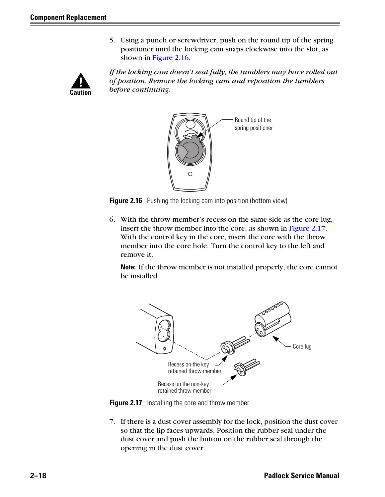5. Using a punch or screwdriver, push on the round tip of the spring positioner until the locking cam snaps clockwise into the slot, [as](#page-25-0)  [shown in Figure 2.16.](#page-25-0)



*If the locking cam doesn't seat fully, the tumblers may have rolled out of position. Remove the locking cam and reposition the tumblers before continuing.*



<span id="page-25-0"></span>**Figure 2.16** Pushing the locking cam into position (bottom view)

<span id="page-25-4"></span>6. With the throw member's recess on the same side as the core lug, insert the throw member into the core, as shown in Figure 2.17. With the control key in the core, insert the core with the throw member into the core hole. Turn the control key to the left and remove it.

<span id="page-25-2"></span>**Note:** If the throw member is not installed properly, the core cannot be installed.



<span id="page-25-1"></span>

<span id="page-25-3"></span>7. If there is a dust cover assembly for the lock, position the dust cover so that the lip faces upwards. Position the rubber seal under the dust cover and push the button on the rubber seal through the opening in the dust cover.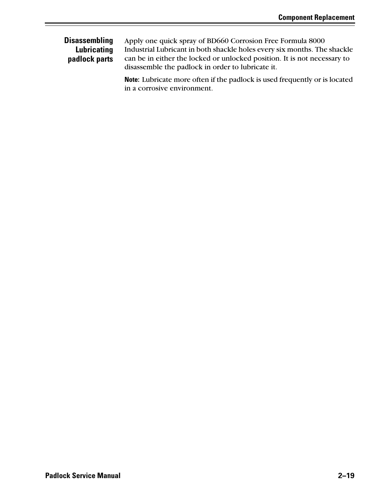#### <span id="page-26-0"></span>**Disassembling Lubricating padlock parts**

<span id="page-26-1"></span>Apply one quick spray of BD660 Corrosion Free Formula 8000 Industrial Lubricant in both shackle holes every six months. The shackle can be in either the locked or unlocked position. It is not necessary to disassemble the padlock in order to lubricate it.

**Note:** Lubricate more often if the padlock is used frequently or is located in a corrosive environment.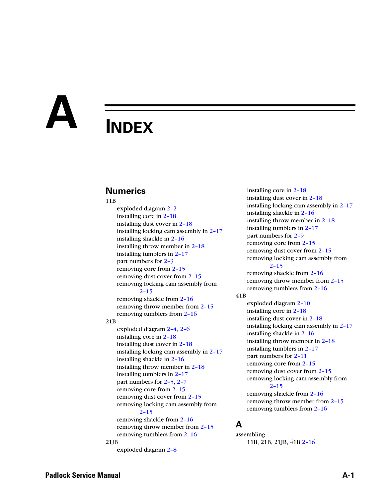# <span id="page-28-0"></span>**A INDEX**

#### **Numerics**

#### 11B

exploded diagram [2–2](#page-9-2) installing core in [2–18](#page-25-2) installing dust cover in [2–18](#page-25-3) installing locking cam assembly in [2–17](#page-24-2) installing shackle in [2–16](#page-23-3) installing throw member in [2–18](#page-25-4) installing tumblers in [2–17](#page-24-3) part numbers for [2–3](#page-10-1) removing core from [2–15](#page-22-4) removing dust cover from [2–15](#page-22-5) removing locking cam assembly from [2–15](#page-22-6) removing shackle from [2–16](#page-23-4) removing throw member from [2–15](#page-22-7) removing tumblers from [2–16](#page-23-5)

#### 21B

exploded diagram [2–4](#page-11-2), [2–6](#page-13-2) installing core in [2–18](#page-25-2) installing dust cover in [2–18](#page-25-3) installing locking cam assembly in [2–17](#page-24-2) installing shackle in [2–16](#page-23-3) installing throw member in [2–18](#page-25-4) installing tumblers in [2–17](#page-24-3) part numbers for [2–5](#page-12-1), [2–7](#page-14-1) removing core from [2–15](#page-22-4) removing dust cover from [2–15](#page-22-5) removing locking cam assembly from [2–15](#page-22-6) removing shackle from [2–16](#page-23-4) removing throw member from [2–15](#page-22-7) removing tumblers from [2–16](#page-23-5) 21JB

exploded diagram [2–8](#page-15-2)

installing dust cover in [2–18](#page-25-3) installing locking cam assembly in [2–17](#page-24-2) installing shackle in [2–16](#page-23-3) installing throw member in [2–18](#page-25-4) installing tumblers in [2–17](#page-24-3) part numbers for [2–9](#page-16-1) removing core from [2–15](#page-22-4) removing dust cover from [2–15](#page-22-5) removing locking cam assembly from [2–15](#page-22-6) removing shackle from [2–16](#page-23-4) removing throw member from [2–15](#page-22-7) removing tumblers from [2–16](#page-23-5) 41B exploded diagram [2–10](#page-17-2) installing core in [2–18](#page-25-2) installing dust cover in [2–18](#page-25-3) installing locking cam assembly in [2–17](#page-24-2) installing shackle in [2–16](#page-23-3) installing throw member in [2–18](#page-25-4) installing tumblers in [2–17](#page-24-3) part numbers for [2–11](#page-18-1) removing core from [2–15](#page-22-4)

installing core in [2–18](#page-25-2)

#### removing dust cover from [2–15](#page-22-5) removing locking cam assembly from [2–15](#page-22-6) removing shackle from [2–16](#page-23-4) removing throw member from [2–15](#page-22-7)

removing tumblers from [2–16](#page-23-5)

#### **A**

assembling 11B, 21B, 21JB, 41B [2–16](#page-23-6)